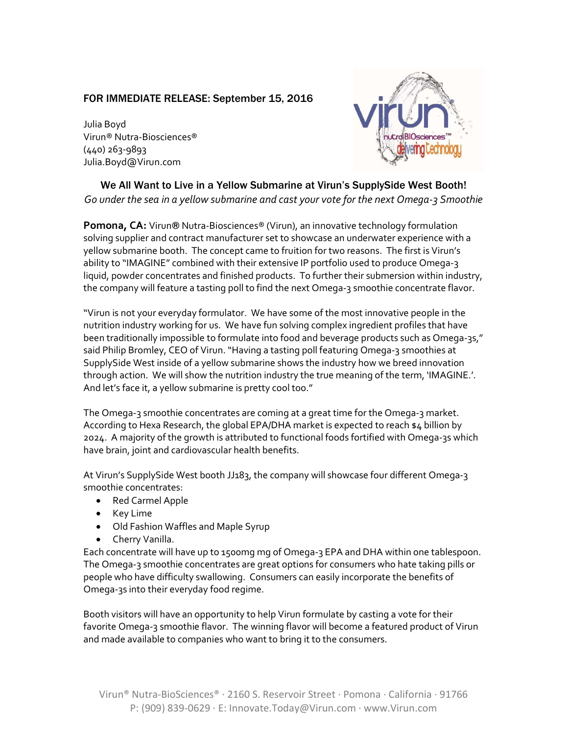## FOR IMMEDIATE RELEASE: September 15, 2016

Julia Boyd Virun® Nutra-Biosciences® (440) 263-9893 Julia.Boyd@Virun.com



## We All Want to Live in a Yellow Submarine at Virun's SupplySide West Booth! Go under the sea in a yellow submarine and cast your vote for the next Omega-3 Smoothie

Pomona, CA: Virun® Nutra-Biosciences® (Virun), an innovative technology formulation solving supplier and contract manufacturer set to showcase an underwater experience with a yellow submarine booth. The concept came to fruition for two reasons. The first is Virun's ability to "IMAGINE" combined with their extensive IP portfolio used to produce Omega-3 liquid, powder concentrates and finished products. To further their submersion within industry, the company will feature a tasting poll to find the next Omega-3 smoothie concentrate flavor.

"Virun is not your everyday formulator. We have some of the most innovative people in the nutrition industry working for us. We have fun solving complex ingredient profiles that have been traditionally impossible to formulate into food and beverage products such as Omega-3s," said Philip Bromley, CEO of Virun. "Having a tasting poll featuring Omega-3 smoothies at SupplySide West inside of a yellow submarine shows the industry how we breed innovation through action. We will show the nutrition industry the true meaning of the term, 'IMAGINE.'. And let's face it, a yellow submarine is pretty cool too."

The Omega-3 smoothie concentrates are coming at a great time for the Omega-3 market. According to Hexa Research, the global EPA/DHA market is expected to reach \$4 billion by 2024. A majority of the growth is attributed to functional foods fortified with Omega-3s which have brain, joint and cardiovascular health benefits.

At Virun's SupplySide West booth JJ183, the company will showcase four different Omega-3 smoothie concentrates:

- Red Carmel Apple
- Key Lime
- Old Fashion Waffles and Maple Syrup
- Cherry Vanilla.

Each concentrate will have up to 1500mg mg of Omega-3 EPA and DHA within one tablespoon. The Omega-3 smoothie concentrates are great options for consumers who hate taking pills or people who have difficulty swallowing. Consumers can easily incorporate the benefits of Omega-3s into their everyday food regime.

Booth visitors will have an opportunity to help Virun formulate by casting a vote for their favorite Omega-3 smoothie flavor. The winning flavor will become a featured product of Virun and made available to companies who want to bring it to the consumers.